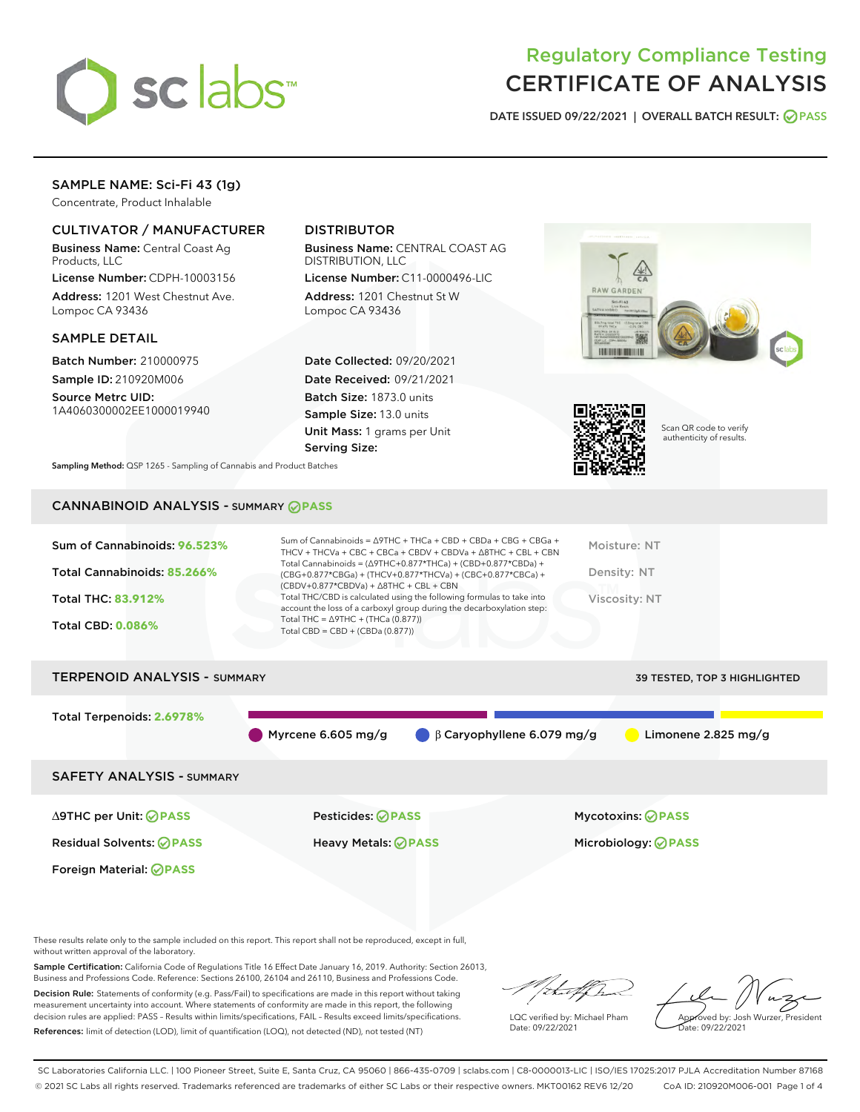

# Regulatory Compliance Testing CERTIFICATE OF ANALYSIS

DATE ISSUED 09/22/2021 | OVERALL BATCH RESULT: @ PASS

# SAMPLE NAME: Sci-Fi 43 (1g)

Concentrate, Product Inhalable

# CULTIVATOR / MANUFACTURER

Business Name: Central Coast Ag Products, LLC

License Number: CDPH-10003156 Address: 1201 West Chestnut Ave. Lompoc CA 93436

### SAMPLE DETAIL

Batch Number: 210000975 Sample ID: 210920M006

Source Metrc UID: 1A4060300002EE1000019940

# DISTRIBUTOR

Business Name: CENTRAL COAST AG DISTRIBUTION, LLC

License Number: C11-0000496-LIC Address: 1201 Chestnut St W Lompoc CA 93436

Date Collected: 09/20/2021 Date Received: 09/21/2021 Batch Size: 1873.0 units Sample Size: 13.0 units Unit Mass: 1 grams per Unit Serving Size:





Scan QR code to verify authenticity of results.

Sampling Method: QSP 1265 - Sampling of Cannabis and Product Batches

# CANNABINOID ANALYSIS - SUMMARY **PASS**

| Sum of Cannabinoids: 96.523%<br>Total Cannabinoids: 85.266%<br><b>Total THC: 83.912%</b><br><b>Total CBD: 0.086%</b> | Sum of Cannabinoids = $\triangle$ 9THC + THCa + CBD + CBDa + CBG + CBGa +<br>THCV + THCVa + CBC + CBCa + CBDV + CBDVa + $\land$ 8THC + CBL + CBN<br>Total Cannabinoids = $(\Delta$ 9THC+0.877*THCa) + (CBD+0.877*CBDa) +<br>$(CBG+0.877*CBGa) + (THCV+0.877*THCVa) + (CBC+0.877*CBCa) +$<br>$(CBDV+0.877*CBDVa) + \Delta 8THC + CBL + CBN$<br>Total THC/CBD is calculated using the following formulas to take into<br>account the loss of a carboxyl group during the decarboxylation step:<br>Total THC = $\triangle$ 9THC + (THCa (0.877))<br>Total CBD = CBD + (CBDa (0.877)) | Moisture: NT<br>Density: NT<br>Viscosity: NT |
|----------------------------------------------------------------------------------------------------------------------|-----------------------------------------------------------------------------------------------------------------------------------------------------------------------------------------------------------------------------------------------------------------------------------------------------------------------------------------------------------------------------------------------------------------------------------------------------------------------------------------------------------------------------------------------------------------------------------|----------------------------------------------|
| <b>TERPENOID ANALYSIS - SUMMARY</b>                                                                                  |                                                                                                                                                                                                                                                                                                                                                                                                                                                                                                                                                                                   | 39 TESTED, TOP 3 HIGHLIGHTED                 |
| Total Terpenoids: 2.6978%                                                                                            |                                                                                                                                                                                                                                                                                                                                                                                                                                                                                                                                                                                   |                                              |

Myrcene 6.605 mg/g  $\qquad \qquad \beta$  Caryophyllene 6.079 mg/g  $\qquad \qquad$  Limonene 2.825 mg/g

SAFETY ANALYSIS - SUMMARY

Foreign Material: **PASS**

∆9THC per Unit: **PASS** Pesticides: **PASS** Mycotoxins: **PASS**

Residual Solvents: **PASS** Heavy Metals: **PASS** Microbiology: **PASS**

These results relate only to the sample included on this report. This report shall not be reproduced, except in full, without written approval of the laboratory.

Sample Certification: California Code of Regulations Title 16 Effect Date January 16, 2019. Authority: Section 26013, Business and Professions Code. Reference: Sections 26100, 26104 and 26110, Business and Professions Code.

Decision Rule: Statements of conformity (e.g. Pass/Fail) to specifications are made in this report without taking measurement uncertainty into account. Where statements of conformity are made in this report, the following decision rules are applied: PASS – Results within limits/specifications, FAIL – Results exceed limits/specifications. References: limit of detection (LOD), limit of quantification (LOQ), not detected (ND), not tested (NT)

that f

LQC verified by: Michael Pham Date: 09/22/2021

Approved by: Josh Wurzer, President ate: 09/22/2021

SC Laboratories California LLC. | 100 Pioneer Street, Suite E, Santa Cruz, CA 95060 | 866-435-0709 | sclabs.com | C8-0000013-LIC | ISO/IES 17025:2017 PJLA Accreditation Number 87168 © 2021 SC Labs all rights reserved. Trademarks referenced are trademarks of either SC Labs or their respective owners. MKT00162 REV6 12/20 CoA ID: 210920M006-001 Page 1 of 4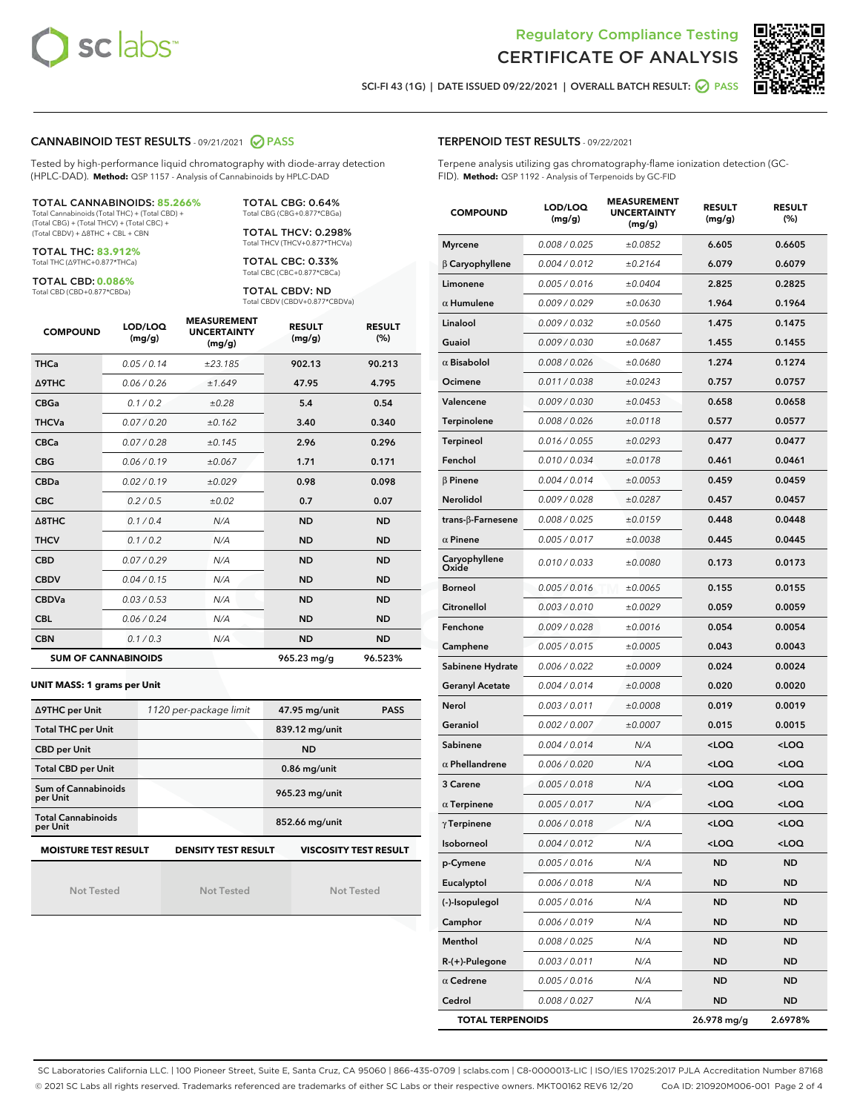



SCI-FI 43 (1G) | DATE ISSUED 09/22/2021 | OVERALL BATCH RESULT: 0 PASS

#### CANNABINOID TEST RESULTS - 09/21/2021 2 PASS

Tested by high-performance liquid chromatography with diode-array detection (HPLC-DAD). **Method:** QSP 1157 - Analysis of Cannabinoids by HPLC-DAD

TOTAL CANNABINOIDS: **85.266%** Total Cannabinoids (Total THC) + (Total CBD) + (Total CBG) + (Total THCV) + (Total CBC) + (Total CBDV) + ∆8THC + CBL + CBN

TOTAL THC: **83.912%**

Total THC (∆9THC+0.877\*THCa)

TOTAL CBD: **0.086%** Total CBD (CBD+0.877\*CBDa)

TOTAL CBG: 0.64% Total CBG (CBG+0.877\*CBGa)

TOTAL THCV: 0.298% Total THCV (THCV+0.877\*THCVa)

TOTAL CBC: 0.33% Total CBC (CBC+0.877\*CBCa)

TOTAL CBDV: ND Total CBDV (CBDV+0.877\*CBDVa)

| <b>COMPOUND</b>  | LOD/LOQ<br>(mg/g)          | <b>MEASUREMENT</b><br><b>UNCERTAINTY</b><br>(mg/g) | <b>RESULT</b><br>(mg/g) | <b>RESULT</b><br>(%) |
|------------------|----------------------------|----------------------------------------------------|-------------------------|----------------------|
| <b>THCa</b>      | 0.05 / 0.14                | ±23.185                                            | 902.13                  | 90.213               |
| <b>A9THC</b>     | 0.06/0.26                  | ±1.649                                             | 47.95                   | 4.795                |
| <b>CBGa</b>      | 0.1 / 0.2                  | ±0.28                                              | 5.4                     | 0.54                 |
| <b>THCVa</b>     | 0.07/0.20                  | ±0.162                                             | 3.40                    | 0.340                |
| <b>CBCa</b>      | 0.07 / 0.28                | ±0.145                                             | 2.96                    | 0.296                |
| <b>CBG</b>       | 0.06/0.19                  | ±0.067                                             | 1.71                    | 0.171                |
| <b>CBDa</b>      | 0.02/0.19                  | ±0.029                                             | 0.98                    | 0.098                |
| <b>CBC</b>       | 0.2/0.5                    | ±0.02                                              | 0.7                     | 0.07                 |
| $\triangle$ 8THC | 0.1/0.4                    | N/A                                                | <b>ND</b>               | <b>ND</b>            |
| <b>THCV</b>      | 0.1/0.2                    | N/A                                                | <b>ND</b>               | <b>ND</b>            |
| <b>CBD</b>       | 0.07/0.29                  | N/A                                                | <b>ND</b>               | <b>ND</b>            |
| <b>CBDV</b>      | 0.04 / 0.15                | N/A                                                | <b>ND</b>               | <b>ND</b>            |
| <b>CBDVa</b>     | 0.03/0.53                  | N/A                                                | <b>ND</b>               | <b>ND</b>            |
| <b>CBL</b>       | 0.06 / 0.24                | N/A                                                | <b>ND</b>               | <b>ND</b>            |
| <b>CBN</b>       | 0.1/0.3                    | N/A                                                | <b>ND</b>               | <b>ND</b>            |
|                  | <b>SUM OF CANNABINOIDS</b> |                                                    | 965.23 mg/g             | 96.523%              |

#### **UNIT MASS: 1 grams per Unit**

| ∆9THC per Unit                        | 1120 per-package limit     | 47.95 mg/unit<br><b>PASS</b> |
|---------------------------------------|----------------------------|------------------------------|
| <b>Total THC per Unit</b>             |                            | 839.12 mg/unit               |
| <b>CBD per Unit</b>                   |                            | <b>ND</b>                    |
| <b>Total CBD per Unit</b>             |                            | $0.86$ mg/unit               |
| Sum of Cannabinoids<br>per Unit       |                            | 965.23 mg/unit               |
| <b>Total Cannabinoids</b><br>per Unit |                            | 852.66 mg/unit               |
| <b>MOISTURE TEST RESULT</b>           | <b>DENSITY TEST RESULT</b> | <b>VISCOSITY TEST RESULT</b> |

Not Tested

Not Tested

Not Tested

| <b>TERPENOID TEST RESULTS - 09/22/2021</b> |
|--------------------------------------------|
|--------------------------------------------|

Terpene analysis utilizing gas chromatography-flame ionization detection (GC-FID). **Method:** QSP 1192 - Analysis of Terpenoids by GC-FID

| <b>COMPOUND</b>          | LOD/LOQ<br>(mg/g) | <b>MEASUREMENT</b><br><b>UNCERTAINTY</b><br>(mg/g) | <b>RESULT</b><br>(mg/g)                         | <b>RESULT</b><br>$(\%)$ |
|--------------------------|-------------------|----------------------------------------------------|-------------------------------------------------|-------------------------|
| <b>Myrcene</b>           | 0.008 / 0.025     | ±0.0852                                            | 6.605                                           | 0.6605                  |
| $\beta$ Caryophyllene    | 0.004 / 0.012     | ±0.2164                                            | 6.079                                           | 0.6079                  |
| Limonene                 | 0.005 / 0.016     | ±0.0404                                            | 2.825                                           | 0.2825                  |
| $\alpha$ Humulene        | 0.009 / 0.029     | ±0.0630                                            | 1.964                                           | 0.1964                  |
| Linalool                 | 0.009 / 0.032     | ±0.0560                                            | 1.475                                           | 0.1475                  |
| Guaiol                   | 0.009 / 0.030     | ±0.0687                                            | 1.455                                           | 0.1455                  |
| $\alpha$ Bisabolol       | 0.008 / 0.026     | ±0.0680                                            | 1.274                                           | 0.1274                  |
| Ocimene                  | 0.011 / 0.038     | ±0.0243                                            | 0.757                                           | 0.0757                  |
| Valencene                | 0.009 / 0.030     | ±0.0453                                            | 0.658                                           | 0.0658                  |
| Terpinolene              | 0.008 / 0.026     | ±0.0118                                            | 0.577                                           | 0.0577                  |
| Terpineol                | 0.016 / 0.055     | ±0.0293                                            | 0.477                                           | 0.0477                  |
| Fenchol                  | 0.010 / 0.034     | ±0.0178                                            | 0.461                                           | 0.0461                  |
| $\beta$ Pinene           | 0.004 / 0.014     | ±0.0053                                            | 0.459                                           | 0.0459                  |
| Nerolidol                | 0.009 / 0.028     | ±0.0287                                            | 0.457                                           | 0.0457                  |
| $trans-\beta$ -Farnesene | 0.008 / 0.025     | ±0.0159                                            | 0.448                                           | 0.0448                  |
| $\alpha$ Pinene          | 0.005 / 0.017     | ±0.0038                                            | 0.445                                           | 0.0445                  |
| Caryophyllene<br>Oxide   | 0.010 / 0.033     | ±0.0080                                            | 0.173                                           | 0.0173                  |
| <b>Borneol</b>           | 0.005 / 0.016     | ±0.0065                                            | 0.155                                           | 0.0155                  |
| Citronellol              | 0.003 / 0.010     | ±0.0029                                            | 0.059                                           | 0.0059                  |
| Fenchone                 | 0.009 / 0.028     | ±0.0016                                            | 0.054                                           | 0.0054                  |
| Camphene                 | 0.005 / 0.015     | ±0.0005                                            | 0.043                                           | 0.0043                  |
| Sabinene Hydrate         | 0.006 / 0.022     | ±0.0009                                            | 0.024                                           | 0.0024                  |
| <b>Geranyl Acetate</b>   | 0.004 / 0.014     | ±0.0008                                            | 0.020                                           | 0.0020                  |
| Nerol                    | 0.003 / 0.011     | ±0.0008                                            | 0.019                                           | 0.0019                  |
| Geraniol                 | 0.002 / 0.007     | ±0.0007                                            | 0.015                                           | 0.0015                  |
| Sabinene                 | 0.004 / 0.014     | N/A                                                | <loq< th=""><th><loq< th=""></loq<></th></loq<> | <loq< th=""></loq<>     |
| $\alpha$ Phellandrene    | 0.006 / 0.020     | N/A                                                | <loq< th=""><th><loq< th=""></loq<></th></loq<> | <loq< th=""></loq<>     |
| 3 Carene                 | 0.005 / 0.018     | N/A                                                | <loq< th=""><th><loq< th=""></loq<></th></loq<> | <loq< th=""></loq<>     |
| $\alpha$ Terpinene       | 0.005 / 0.017     | N/A                                                | $<$ LOQ                                         | <loq< th=""></loq<>     |
| $\gamma$ Terpinene       | 0.006 / 0.018     | N/A                                                | $<$ l OO                                        | <loq< th=""></loq<>     |
| Isoborneol               | 0.004 / 0.012     | N/A                                                | <loq< th=""><th><loq< th=""></loq<></th></loq<> | <loq< th=""></loq<>     |
| p-Cymene                 | 0.005 / 0.016     | N/A                                                | <b>ND</b>                                       | ND                      |
| Eucalyptol               | 0.006 / 0.018     | N/A                                                | ND                                              | <b>ND</b>               |
| (-)-Isopulegol           | 0.005 / 0.016     | N/A                                                | ND                                              | ND                      |
| Camphor                  | 0.006 / 0.019     | N/A                                                | ND                                              | ND                      |
| Menthol                  | 0.008 / 0.025     | N/A                                                | ND                                              | ND                      |
| $R-(+)$ -Pulegone        | 0.003 / 0.011     | N/A                                                | <b>ND</b>                                       | ND                      |
| $\alpha$ Cedrene         | 0.005 / 0.016     | N/A                                                | ND                                              | ND                      |
| Cedrol                   | 0.008 / 0.027     | N/A                                                | ND                                              | ND                      |
| <b>TOTAL TERPENOIDS</b>  |                   |                                                    | 26.978 mg/g                                     | 2.6978%                 |

SC Laboratories California LLC. | 100 Pioneer Street, Suite E, Santa Cruz, CA 95060 | 866-435-0709 | sclabs.com | C8-0000013-LIC | ISO/IES 17025:2017 PJLA Accreditation Number 87168 © 2021 SC Labs all rights reserved. Trademarks referenced are trademarks of either SC Labs or their respective owners. MKT00162 REV6 12/20 CoA ID: 210920M006-001 Page 2 of 4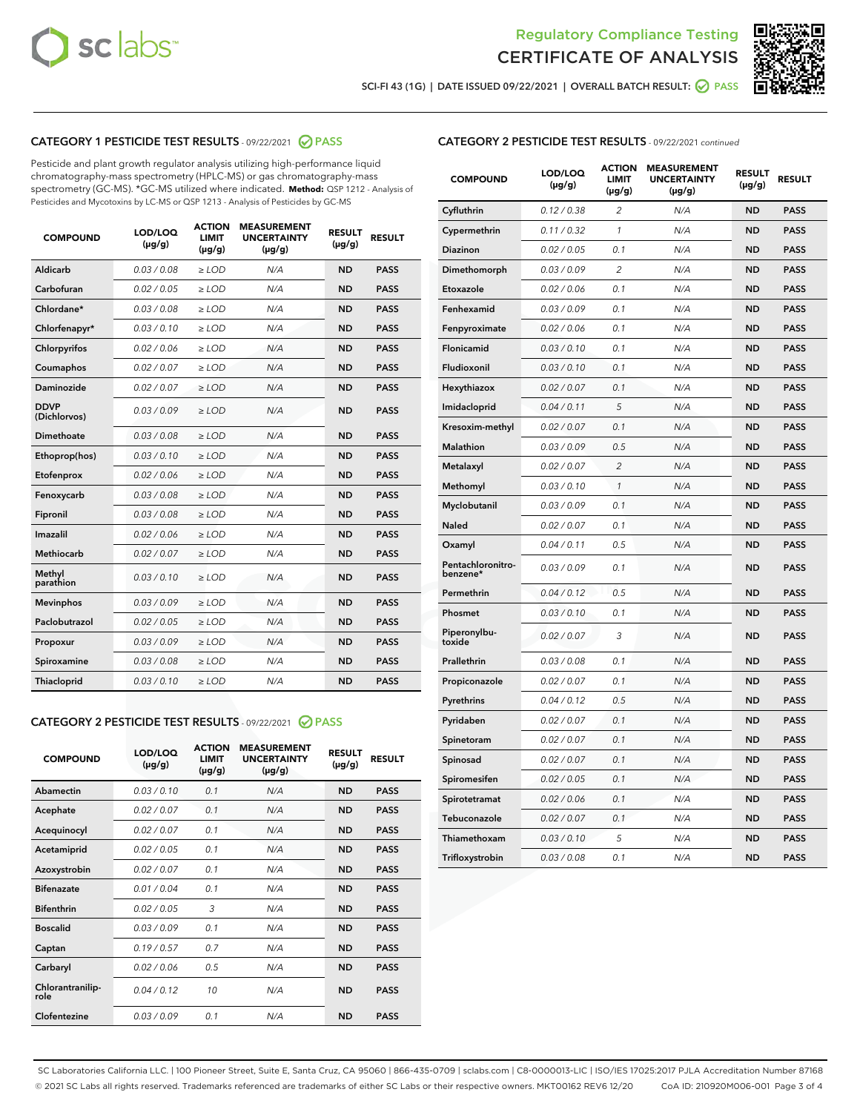



SCI-FI 43 (1G) | DATE ISSUED 09/22/2021 | OVERALL BATCH RESULT: 2 PASS

# CATEGORY 1 PESTICIDE TEST RESULTS - 09/22/2021 2 PASS

Pesticide and plant growth regulator analysis utilizing high-performance liquid chromatography-mass spectrometry (HPLC-MS) or gas chromatography-mass spectrometry (GC-MS). \*GC-MS utilized where indicated. **Method:** QSP 1212 - Analysis of Pesticides and Mycotoxins by LC-MS or QSP 1213 - Analysis of Pesticides by GC-MS

| <b>COMPOUND</b>             | LOD/LOQ<br>$(\mu g/g)$ | <b>ACTION</b><br><b>LIMIT</b><br>$(\mu g/g)$ | <b>MEASUREMENT</b><br><b>UNCERTAINTY</b><br>$(\mu g/g)$ | <b>RESULT</b><br>$(\mu g/g)$ | <b>RESULT</b> |
|-----------------------------|------------------------|----------------------------------------------|---------------------------------------------------------|------------------------------|---------------|
| Aldicarb                    | 0.03 / 0.08            | $\ge$ LOD                                    | N/A                                                     | <b>ND</b>                    | <b>PASS</b>   |
| Carbofuran                  | 0.02/0.05              | $>$ LOD                                      | N/A                                                     | <b>ND</b>                    | <b>PASS</b>   |
| Chlordane*                  | 0.03 / 0.08            | $\ge$ LOD                                    | N/A                                                     | <b>ND</b>                    | <b>PASS</b>   |
| Chlorfenapyr*               | 0.03/0.10              | $\ge$ LOD                                    | N/A                                                     | <b>ND</b>                    | <b>PASS</b>   |
| Chlorpyrifos                | 0.02/0.06              | $\ge$ LOD                                    | N/A                                                     | <b>ND</b>                    | <b>PASS</b>   |
| Coumaphos                   | 0.02 / 0.07            | $\ge$ LOD                                    | N/A                                                     | <b>ND</b>                    | <b>PASS</b>   |
| <b>Daminozide</b>           | 0.02 / 0.07            | $\ge$ LOD                                    | N/A                                                     | <b>ND</b>                    | <b>PASS</b>   |
| <b>DDVP</b><br>(Dichlorvos) | 0.03/0.09              | $\ge$ LOD                                    | N/A                                                     | <b>ND</b>                    | <b>PASS</b>   |
| <b>Dimethoate</b>           | 0.03 / 0.08            | $\ge$ LOD                                    | N/A                                                     | <b>ND</b>                    | <b>PASS</b>   |
| Ethoprop(hos)               | 0.03/0.10              | $\ge$ LOD                                    | N/A                                                     | <b>ND</b>                    | <b>PASS</b>   |
| Etofenprox                  | 0.02 / 0.06            | $\ge$ LOD                                    | N/A                                                     | <b>ND</b>                    | <b>PASS</b>   |
| Fenoxycarb                  | 0.03/0.08              | $\ge$ LOD                                    | N/A                                                     | <b>ND</b>                    | <b>PASS</b>   |
| Fipronil                    | 0.03/0.08              | $\ge$ LOD                                    | N/A                                                     | <b>ND</b>                    | <b>PASS</b>   |
| Imazalil                    | 0.02 / 0.06            | $\ge$ LOD                                    | N/A                                                     | <b>ND</b>                    | <b>PASS</b>   |
| Methiocarb                  | 0.02 / 0.07            | $\ge$ LOD                                    | N/A                                                     | <b>ND</b>                    | <b>PASS</b>   |
| Methyl<br>parathion         | 0.03/0.10              | $\ge$ LOD                                    | N/A                                                     | <b>ND</b>                    | <b>PASS</b>   |
| <b>Mevinphos</b>            | 0.03/0.09              | $>$ LOD                                      | N/A                                                     | <b>ND</b>                    | <b>PASS</b>   |
| Paclobutrazol               | 0.02 / 0.05            | $\ge$ LOD                                    | N/A                                                     | <b>ND</b>                    | <b>PASS</b>   |
| Propoxur                    | 0.03/0.09              | $>$ LOD                                      | N/A                                                     | <b>ND</b>                    | <b>PASS</b>   |
| Spiroxamine                 | 0.03 / 0.08            | $\ge$ LOD                                    | N/A                                                     | <b>ND</b>                    | <b>PASS</b>   |
| Thiacloprid                 | 0.03/0.10              | $\ge$ LOD                                    | N/A                                                     | <b>ND</b>                    | <b>PASS</b>   |

#### CATEGORY 2 PESTICIDE TEST RESULTS - 09/22/2021 @ PASS

| <b>COMPOUND</b>          | LOD/LOO<br>$(\mu g/g)$ | <b>ACTION</b><br>LIMIT<br>$(\mu g/g)$ | <b>MEASUREMENT</b><br><b>UNCERTAINTY</b><br>$(\mu g/g)$ | <b>RESULT</b><br>$(\mu g/g)$ | <b>RESULT</b> |  |
|--------------------------|------------------------|---------------------------------------|---------------------------------------------------------|------------------------------|---------------|--|
| Abamectin                | 0.03/0.10              | 0.1                                   | N/A                                                     | <b>ND</b>                    | <b>PASS</b>   |  |
| Acephate                 | 0.02/0.07              | 0.1                                   | N/A                                                     | <b>ND</b>                    | <b>PASS</b>   |  |
| Acequinocyl              | 0.02/0.07              | 0.1                                   | N/A                                                     | <b>ND</b>                    | <b>PASS</b>   |  |
| Acetamiprid              | 0.02/0.05              | 0.1                                   | N/A                                                     | <b>ND</b>                    | <b>PASS</b>   |  |
| Azoxystrobin             | 0.02/0.07              | 0.1                                   | N/A                                                     | <b>ND</b>                    | <b>PASS</b>   |  |
| <b>Bifenazate</b>        | 0.01 / 0.04            | 0.1                                   | N/A                                                     | <b>ND</b>                    | <b>PASS</b>   |  |
| <b>Bifenthrin</b>        | 0.02/0.05              | 3                                     | N/A                                                     | <b>ND</b>                    | <b>PASS</b>   |  |
| <b>Boscalid</b>          | 0.03/0.09              | 0.1                                   | N/A                                                     | <b>ND</b>                    | <b>PASS</b>   |  |
| Captan                   | 0.19/0.57              | 0.7                                   | N/A                                                     | <b>ND</b>                    | <b>PASS</b>   |  |
| Carbaryl                 | 0.02/0.06              | 0.5                                   | N/A                                                     | <b>ND</b>                    | <b>PASS</b>   |  |
| Chlorantranilip-<br>role | 0.04/0.12              | 10                                    | N/A                                                     | <b>ND</b>                    | <b>PASS</b>   |  |
| Clofentezine             | 0.03/0.09              | 0.1                                   | N/A                                                     | <b>ND</b>                    | <b>PASS</b>   |  |

| <b>CATEGORY 2 PESTICIDE TEST RESULTS</b> - 09/22/2021 continued |  |
|-----------------------------------------------------------------|--|
|-----------------------------------------------------------------|--|

| <b>COMPOUND</b>               | LOD/LOQ<br>(µg/g) | <b>ACTION</b><br><b>LIMIT</b><br>(µg/g) | <b>MEASUREMENT</b><br><b>UNCERTAINTY</b><br>$(\mu g/g)$ | <b>RESULT</b><br>(µg/g) | <b>RESULT</b> |
|-------------------------------|-------------------|-----------------------------------------|---------------------------------------------------------|-------------------------|---------------|
| Cyfluthrin                    | 0.12 / 0.38       | $\overline{c}$                          | N/A                                                     | <b>ND</b>               | <b>PASS</b>   |
| Cypermethrin                  | 0.11 / 0.32       | 1                                       | N/A                                                     | <b>ND</b>               | <b>PASS</b>   |
| <b>Diazinon</b>               | 0.02 / 0.05       | 0.1                                     | N/A                                                     | <b>ND</b>               | <b>PASS</b>   |
| Dimethomorph                  | 0.03 / 0.09       | 2                                       | N/A                                                     | <b>ND</b>               | <b>PASS</b>   |
| Etoxazole                     | 0.02 / 0.06       | 0.1                                     | N/A                                                     | <b>ND</b>               | <b>PASS</b>   |
| Fenhexamid                    | 0.03 / 0.09       | 0.1                                     | N/A                                                     | <b>ND</b>               | <b>PASS</b>   |
| Fenpyroximate                 | 0.02 / 0.06       | 0.1                                     | N/A                                                     | <b>ND</b>               | <b>PASS</b>   |
| Flonicamid                    | 0.03 / 0.10       | 0.1                                     | N/A                                                     | <b>ND</b>               | <b>PASS</b>   |
| Fludioxonil                   | 0.03 / 0.10       | 0.1                                     | N/A                                                     | <b>ND</b>               | <b>PASS</b>   |
| Hexythiazox                   | 0.02 / 0.07       | 0.1                                     | N/A                                                     | <b>ND</b>               | <b>PASS</b>   |
| Imidacloprid                  | 0.04 / 0.11       | 5                                       | N/A                                                     | <b>ND</b>               | <b>PASS</b>   |
| Kresoxim-methyl               | 0.02 / 0.07       | 0.1                                     | N/A                                                     | <b>ND</b>               | <b>PASS</b>   |
| Malathion                     | 0.03 / 0.09       | 0.5                                     | N/A                                                     | <b>ND</b>               | <b>PASS</b>   |
| Metalaxyl                     | 0.02 / 0.07       | $\overline{c}$                          | N/A                                                     | <b>ND</b>               | <b>PASS</b>   |
| Methomyl                      | 0.03 / 0.10       | $\mathcal{I}$                           | N/A                                                     | <b>ND</b>               | <b>PASS</b>   |
| Myclobutanil                  | 0.03 / 0.09       | 0.1                                     | N/A                                                     | <b>ND</b>               | <b>PASS</b>   |
| <b>Naled</b>                  | 0.02 / 0.07       | 0.1                                     | N/A                                                     | <b>ND</b>               | <b>PASS</b>   |
| Oxamyl                        | 0.04 / 0.11       | 0.5                                     | N/A                                                     | <b>ND</b>               | <b>PASS</b>   |
| Pentachloronitro-<br>benzene* | 0.03/0.09         | 0.1                                     | N/A                                                     | <b>ND</b>               | <b>PASS</b>   |
| Permethrin                    | 0.04 / 0.12       | 0.5                                     | N/A                                                     | <b>ND</b>               | <b>PASS</b>   |
| Phosmet                       | 0.03 / 0.10       | 0.1                                     | N/A                                                     | <b>ND</b>               | <b>PASS</b>   |
| Piperonylbu-<br>toxide        | 0.02 / 0.07       | 3                                       | N/A                                                     | <b>ND</b>               | <b>PASS</b>   |
| Prallethrin                   | 0.03 / 0.08       | 0.1                                     | N/A                                                     | <b>ND</b>               | <b>PASS</b>   |
| Propiconazole                 | 0.02 / 0.07       | 0.1                                     | N/A                                                     | <b>ND</b>               | <b>PASS</b>   |
| Pyrethrins                    | 0.04 / 0.12       | 0.5                                     | N/A                                                     | <b>ND</b>               | <b>PASS</b>   |
| Pyridaben                     | 0.02 / 0.07       | 0.1                                     | N/A                                                     | <b>ND</b>               | <b>PASS</b>   |
| Spinetoram                    | 0.02 / 0.07       | 0.1                                     | N/A                                                     | <b>ND</b>               | <b>PASS</b>   |
| Spinosad                      | 0.02 / 0.07       | 0.1                                     | N/A                                                     | <b>ND</b>               | <b>PASS</b>   |
| Spiromesifen                  | 0.02 / 0.05       | 0.1                                     | N/A                                                     | <b>ND</b>               | <b>PASS</b>   |
| Spirotetramat                 | 0.02 / 0.06       | 0.1                                     | N/A                                                     | ND                      | <b>PASS</b>   |
| Tebuconazole                  | 0.02 / 0.07       | 0.1                                     | N/A                                                     | <b>ND</b>               | <b>PASS</b>   |
| Thiamethoxam                  | 0.03 / 0.10       | 5                                       | N/A                                                     | <b>ND</b>               | <b>PASS</b>   |
| Trifloxystrobin               | 0.03 / 0.08       | 0.1                                     | N/A                                                     | <b>ND</b>               | <b>PASS</b>   |

SC Laboratories California LLC. | 100 Pioneer Street, Suite E, Santa Cruz, CA 95060 | 866-435-0709 | sclabs.com | C8-0000013-LIC | ISO/IES 17025:2017 PJLA Accreditation Number 87168 © 2021 SC Labs all rights reserved. Trademarks referenced are trademarks of either SC Labs or their respective owners. MKT00162 REV6 12/20 CoA ID: 210920M006-001 Page 3 of 4